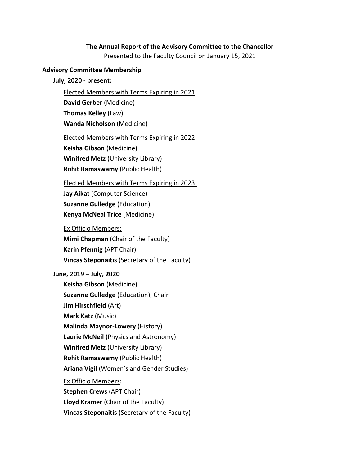### **The Annual Report of the Advisory Committee to the Chancellor**

Presented to the Faculty Council on January 15, 2021

#### **Advisory Committee Membership**

**July, 2020 - present:**

Elected Members with Terms Expiring in 2021:

**David Gerber** (Medicine)

**Thomas Kelley** (Law)

**Wanda Nicholson** (Medicine)

Elected Members with Terms Expiring in 2022:

**Keisha Gibson** (Medicine)

**Winifred Metz** (University Library)

**Rohit Ramaswamy** (Public Health)

Elected Members with Terms Expiring in 2023:

**Jay Aikat** (Computer Science) **Suzanne Gulledge** (Education) **Kenya McNeal Trice** (Medicine)

Ex Officio Members:

**Mimi Chapman** (Chair of the Faculty) **Karin Pfennig** (APT Chair) **Vincas Steponaitis** (Secretary of the Faculty)

**June, 2019 – July, 2020**

**Keisha Gibson** (Medicine) **Suzanne Gulledge** (Education), Chair **Jim Hirschfield** (Art) **Mark Katz** (Music) **Malinda Maynor-Lowery** (History) **Laurie McNeil** (Physics and Astronomy) **Winifred Metz** (University Library) **Rohit Ramaswamy** (Public Health) **Ariana Vigil** (Women's and Gender Studies) Ex Officio Members: **Stephen Crews** (APT Chair) **Lloyd Kramer** (Chair of the Faculty) **Vincas Steponaitis** (Secretary of the Faculty)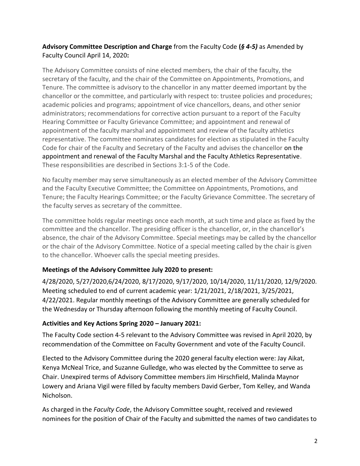## **Advisory Committee Description and Charge** from the Faculty Code **(***§ 4-5)* as Amended by Faculty Council April 14, 2020**:**

The Advisory Committee consists of nine elected members, the chair of the faculty, the secretary of the faculty, and the chair of the Committee on Appointments, Promotions, and Tenure. The committee is advisory to the chancellor in any matter deemed important by the chancellor or the committee, and particularly with respect to: trustee policies and procedures; academic policies and programs; appointment of vice chancellors, deans, and other senior administrators; recommendations for corrective action pursuant to a report of the Faculty Hearing Committee or Faculty Grievance Committee; and appointment and renewal of appointment of the faculty marshal and appointment and review of the faculty athletics representative. The committee nominates candidates for election as stipulated in the Faculty Code for chair of the Faculty and Secretary of the Faculty and advises the chancellor on the appointment and renewal of the Faculty Marshal and the Faculty Athletics Representative. These responsibilities are described in Sections 3:1-5 of the Code.

No faculty member may serve simultaneously as an elected member of the Advisory Committee and the Faculty Executive Committee; the Committee on Appointments, Promotions, and Tenure; the Faculty Hearings Committee; or the Faculty Grievance Committee. The secretary of the faculty serves as secretary of the committee.

The committee holds regular meetings once each month, at such time and place as fixed by the committee and the chancellor. The presiding officer is the chancellor, or, in the chancellor's absence, the chair of the Advisory Committee. Special meetings may be called by the chancellor or the chair of the Advisory Committee. Notice of a special meeting called by the chair is given to the chancellor. Whoever calls the special meeting presides.

# **Meetings of the Advisory Committee July 2020 to present:**

4/28/2020, 5/27/2020,6/24/2020, 8/17/2020, 9/17/2020, 10/14/2020, 11/11/2020, 12/9/2020. Meeting scheduled to end of current academic year: 1/21/2021, 2/18/2021, 3/25/2021, 4/22/2021. Regular monthly meetings of the Advisory Committee are generally scheduled for the Wednesday or Thursday afternoon following the monthly meeting of Faculty Council.

#### **Activities and Key Actions Spring 2020 – January 2021:**

The Faculty Code section 4-5 relevant to the Advisory Committee was revised in April 2020, by recommendation of the Committee on Faculty Government and vote of the Faculty Council.

Elected to the Advisory Committee during the 2020 general faculty election were: Jay Aikat, Kenya McNeal Trice, and Suzanne Gulledge, who was elected by the Committee to serve as Chair. Unexpired terms of Advisory Committee members Jim Hirschfield, Malinda Maynor Lowery and Ariana Vigil were filled by faculty members David Gerber, Tom Kelley, and Wanda Nicholson.

As charged in the *Faculty Code*, the Advisory Committee sought, received and reviewed nominees for the position of Chair of the Faculty and submitted the names of two candidates to